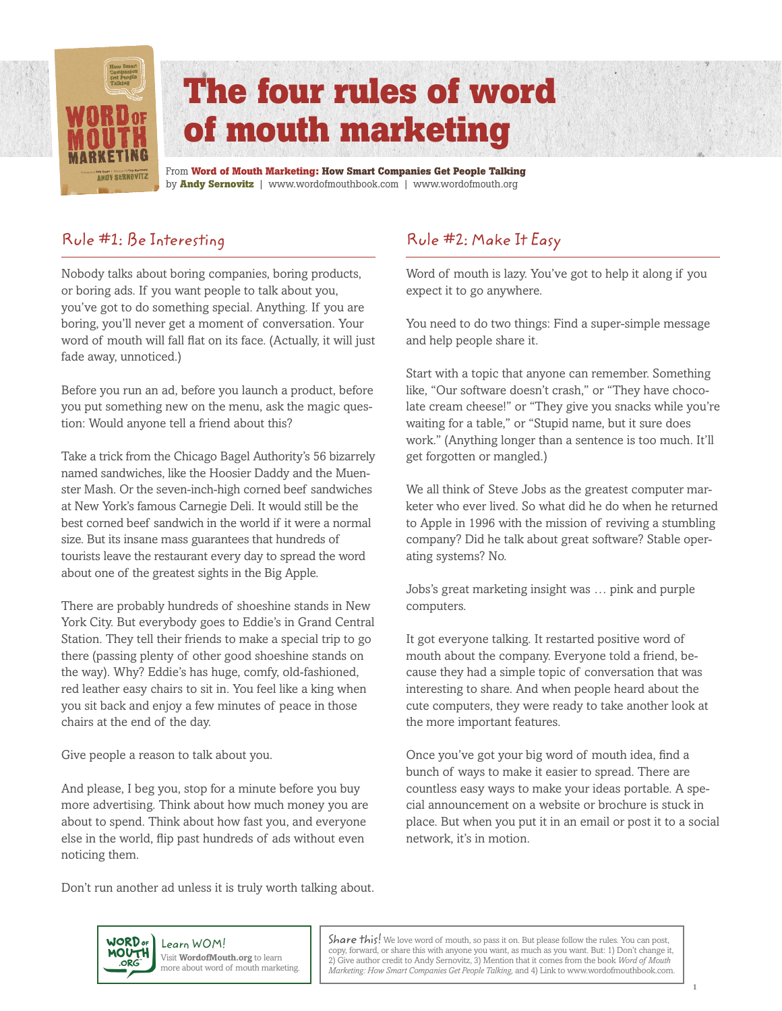

## Rule #1: Be Interesting

Nobody talks about boring companies, boring products, or boring ads. If you want people to talk about you, you've got to do something special. Anything. If you are boring, you'll never get a moment of conversation. Your word of mouth will fall flat on its face. (Actually, it will just fade away, unnoticed.)

Before you run an ad, before you launch a product, before you put something new on the menu, ask the magic question: Would anyone tell a friend about this?

Take a trick from the Chicago Bagel Authority's 56 bizarrely named sandwiches, like the Hoosier Daddy and the Muenster Mash. Or the seven-inch-high corned beef sandwiches at New York's famous Carnegie Deli. It would still be the best corned beef sandwich in the world if it were a normal size. But its insane mass guarantees that hundreds of tourists leave the restaurant every day to spread the word about one of the greatest sights in the Big Apple.

There are probably hundreds of shoeshine stands in New York City. But everybody goes to Eddie's in Grand Central Station. They tell their friends to make a special trip to go there (passing plenty of other good shoeshine stands on the way). Why? Eddie's has huge, comfy, old-fashioned, red leather easy chairs to sit in. You feel like a king when you sit back and enjoy a few minutes of peace in those chairs at the end of the day.

Give people a reason to talk about you.

And please, I beg you, stop for a minute before you buy more advertising. Think about how much money you are about to spend. Think about how fast you, and everyone else in the world, flip past hundreds of ads without even noticing them.

## Rule #2: Make It Easy

Word of mouth is lazy. You've got to help it along if you expect it to go anywhere.

You need to do two things: Find a super-simple message and help people share it.

Start with a topic that anyone can remember. Something like, "Our software doesn't crash," or "They have chocolate cream cheese!" or "They give you snacks while you're waiting for a table," or "Stupid name, but it sure does work." (Anything longer than a sentence is too much. It'll get forgotten or mangled.)

We all think of Steve Jobs as the greatest computer marketer who ever lived. So what did he do when he returned to Apple in 1996 with the mission of reviving a stumbling company? Did he talk about great software? Stable operating systems? No.

Jobs's great marketing insight was … pink and purple computers.

It got everyone talking. It restarted positive word of mouth about the company. Everyone told a friend, because they had a simple topic of conversation that was interesting to share. And when people heard about the cute computers, they were ready to take another look at the more important features.

Once you've got your big word of mouth idea, find a bunch of ways to make it easier to spread. There are countless easy ways to make your ideas portable. A special announcement on a website or brochure is stuck in place. But when you put it in an email or post it to a social network, it's in motion.

Don't run another ad unless it is truly worth talking about.



Share this! We love word of mouth, so pass it on. But please follow the rules. You can post, copy, forward, or share this with anyone you want, as much as you want. But: 1) Don't change it, 2) Give author credit to Andy Sernovitz, 3) Mention that it comes from the book *Word of Mouth Marketing: How Smart Companies Get People Talking,* and 4) Link to www.wordofmouthbook.com.